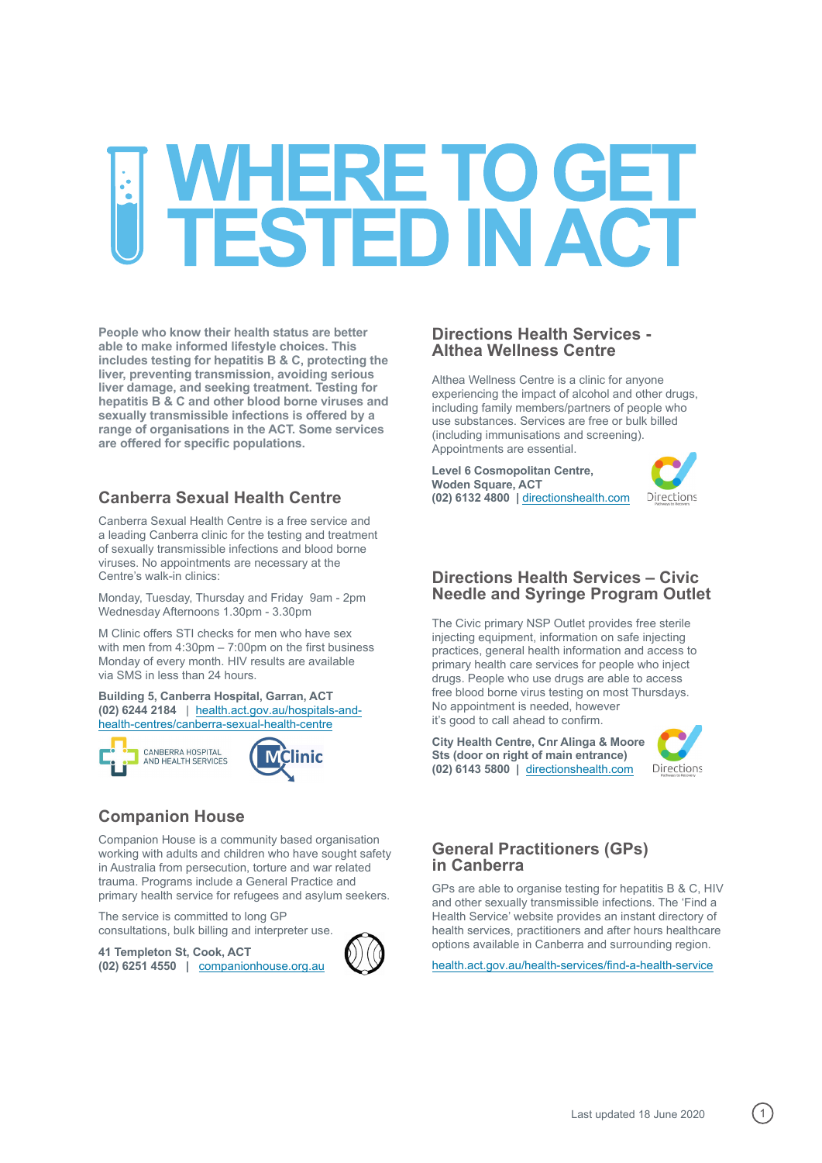# WHERE TO GET<br>TESTED IN ACT

**People who know their health status are better able to make informed lifestyle choices. This includes testing for hepatitis B & C, protecting the liver, preventing transmission, avoiding serious liver damage, and seeking treatment. Testing for hepatitis B & C and other blood borne viruses and sexually transmissible infections is offered by a range of organisations in the ACT. Some services are offered for specific populations.**

# **Canberra Sexual Health Centre**

Canberra Sexual Health Centre is a free service and a leading Canberra clinic for the testing and treatment of sexually transmissible infections and blood borne viruses. No appointments are necessary at the Centre's walk-in clinics:

Monday, Tuesday, Thursday and Friday 9am - 2pm Wednesday Afternoons 1.30pm - 3.30pm

M Clinic offers STI checks for men who have sex with men from 4:30pm – 7:00pm on the first business Monday of every month. HIV results are available via SMS in less than 24 hours.

**Building 5, Canberra Hospital, Garran, ACT (02) 6244 2184** | health.act.gov.au/hospitals-andhealth-centres/canberra-sexual-health-centre



# **Companion House**

Companion House is a community based organisation working with adults and children who have sought safety in Australia from persecution, torture and war related trauma. Programs include a General Practice and primary health service for refugees and asylum seekers.

The service is committed to long GP consultations, bulk billing and interpreter use.

**41 Templeton St, Cook, ACT (02) 6251 4550 |** companionhouse.org.au



Althea Wellness Centre is a clinic for anyone experiencing the impact of alcohol and other drugs, including family members/partners of people who use substances. Services are free or bulk billed (including immunisations and screening). Appointments are essential.

**Level 6 Cosmopolitan Centre, Woden Square, ACT (02) 6132 4800 |** directionshealth.com



## **Directions Health Services – Civic Needle and Syringe Program Outlet**

The Civic primary NSP Outlet provides free sterile injecting equipment, information on safe injecting practices, general health information and access to primary health care services for people who inject drugs. People who use drugs are able to access free blood borne virus testing on most Thursdays. No appointment is needed, however it's good to call ahead to confirm.

**City Health Centre, Cnr Alinga & Moore Sts (door on right of main entrance) (02) 6143 5800 |** directionshealth.com



# **General Practitioners (GPs) in Canberra**

GPs are able to organise testing for hepatitis B & C, HIV and other sexually transmissible infections. The 'Find a Health Service' website provides an instant directory of health services, practitioners and after hours healthcare options available in Canberra and surrounding region.

health.act.gov.au/health-services/find-a-health-service